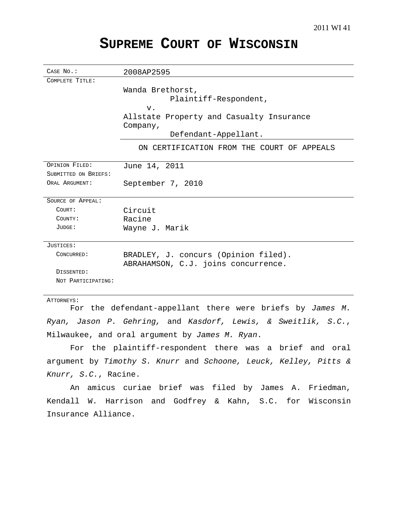# **SUPREME COURT OF WISCONSIN**

| CASE No.:            | 2008AP2595                                 |
|----------------------|--------------------------------------------|
| COMPLETE TITLE:      |                                            |
|                      | Wanda Brethorst,                           |
|                      | Plaintiff-Respondent,                      |
|                      | $V$ .                                      |
|                      | Allstate Property and Casualty Insurance   |
|                      | Company,                                   |
|                      | Defendant-Appellant.                       |
|                      | ON CERTIFICATION FROM THE COURT OF APPEALS |
| OPINION FILED:       | June 14, 2011                              |
| SUBMITTED ON BRIEFS: |                                            |
| ORAL ARGUMENT:       | September 7, 2010                          |
| SOURCE OF APPEAL:    |                                            |
| COURT:               | Circuit                                    |
| COUNTY:              | Racine                                     |
| JUDGE:               | Wayne J. Marik                             |
|                      |                                            |
| JUSTICES:            |                                            |
| CONCURRED:           | BRADLEY, J. concurs (Opinion filed).       |
|                      | ABRAHAMSON, C.J. joins concurrence.        |
| DISSENTED:           |                                            |
| NOT PARTICIPATING:   |                                            |
|                      |                                            |

#### ATTORNEYS:

For the defendant-appellant there were briefs by James M. Ryan, Jason P. Gehring, and Kasdorf, Lewis, & Sweitlik, S.C., Milwaukee, and oral argument by James M. Ryan.

For the plaintiff-respondent there was a brief and oral argument by Timothy S. Knurr and Schoone, Leuck, Kelley, Pitts & Knurr, S.C., Racine.

An amicus curiae brief was filed by James A. Friedman, Kendall W. Harrison and Godfrey & Kahn, S.C. for Wisconsin Insurance Alliance.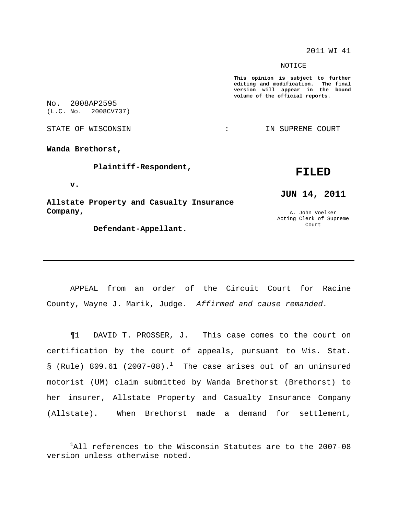2011 WI 41

NOTICE

**This opinion is subject to further editing and modification. The final version will appear in the bound volume of the official reports.**

No. 2008AP2595 (L.C. No. 2008CV737)

STATE OF WISCONSIN THE RESERVE STATE OF WISCONSIN STATE OF THE SUPREME COURT

**Wanda Brethorst,**

**Plaintiff-Respondent,**

**v.**

**Allstate Property and Casualty Insurance Company,**

**Defendant-Appellant.**

## **FILED**

**JUN 14, 2011**

A. John Voelker Acting Clerk of Supreme Court

APPEAL from an order of the Circuit Court for Racine County, Wayne J. Marik, Judge. Affirmed and cause remanded.

¶1 DAVID T. PROSSER, J. This case comes to the court on certification by the court of appeals, pursuant to Wis. Stat.  $\S$  (Rule) 809.61 (2007-08).<sup>1</sup> The case arises out of an uninsured motorist (UM) claim submitted by Wanda Brethorst (Brethorst) to her insurer, Allstate Property and Casualty Insurance Company (Allstate). When Brethorst made a demand for settlement,

 $1$ All references to the Wisconsin Statutes are to the 2007-08 version unless otherwise noted.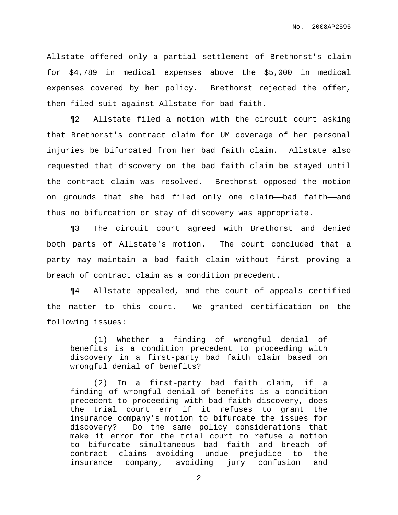Allstate offered only a partial settlement of Brethorst's claim for \$4,789 in medical expenses above the \$5,000 in medical expenses covered by her policy. Brethorst rejected the offer, then filed suit against Allstate for bad faith.

¶2 Allstate filed a motion with the circuit court asking that Brethorst's contract claim for UM coverage of her personal injuries be bifurcated from her bad faith claim. Allstate also requested that discovery on the bad faith claim be stayed until the contract claim was resolved. Brethorst opposed the motion on grounds that she had filed only one claim——bad faith——and thus no bifurcation or stay of discovery was appropriate.

¶3 The circuit court agreed with Brethorst and denied both parts of Allstate's motion. The court concluded that a party may maintain a bad faith claim without first proving a breach of contract claim as a condition precedent.

¶4 Allstate appealed, and the court of appeals certified the matter to this court. We granted certification on the following issues:

(1) Whether a finding of wrongful denial of benefits is a condition precedent to proceeding with discovery in a first-party bad faith claim based on wrongful denial of benefits?

(2) In a first-party bad faith claim, if a finding of wrongful denial of benefits is a condition precedent to proceeding with bad faith discovery, does the trial court err if it refuses to grant the insurance company's motion to bifurcate the issues for discovery? Do the same policy considerations that make it error for the trial court to refuse a motion to bifurcate simultaneous bad faith and breach of contract claims——avoiding undue prejudice to the insurance company, avoiding jury confusion and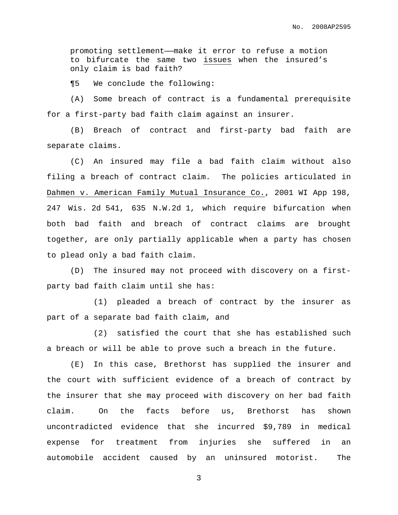promoting settlement——make it error to refuse a motion to bifurcate the same two issues when the insured's only claim is bad faith?

¶5 We conclude the following:

(A) Some breach of contract is a fundamental prerequisite for a first-party bad faith claim against an insurer.

(B) Breach of contract and first-party bad faith are separate claims.

(C) An insured may file a bad faith claim without also filing a breach of contract claim. The policies articulated in Dahmen v. American Family Mutual Insurance Co., 2001 WI App 198, 247 Wis. 2d 541, 635 N.W.2d 1, which require bifurcation when both bad faith and breach of contract claims are brought together, are only partially applicable when a party has chosen to plead only a bad faith claim.

(D) The insured may not proceed with discovery on a firstparty bad faith claim until she has:

(1) pleaded a breach of contract by the insurer as part of a separate bad faith claim, and

(2) satisfied the court that she has established such a breach or will be able to prove such a breach in the future.

(E) In this case, Brethorst has supplied the insurer and the court with sufficient evidence of a breach of contract by the insurer that she may proceed with discovery on her bad faith claim. On the facts before us, Brethorst has shown uncontradicted evidence that she incurred \$9,789 in medical expense for treatment from injuries she suffered in an automobile accident caused by an uninsured motorist. The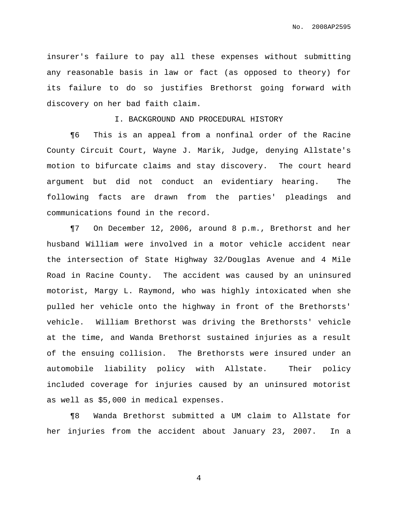insurer's failure to pay all these expenses without submitting any reasonable basis in law or fact (as opposed to theory) for its failure to do so justifies Brethorst going forward with discovery on her bad faith claim.

I. BACKGROUND AND PROCEDURAL HISTORY

¶6 This is an appeal from a nonfinal order of the Racine County Circuit Court, Wayne J. Marik, Judge, denying Allstate's motion to bifurcate claims and stay discovery. The court heard argument but did not conduct an evidentiary hearing. The following facts are drawn from the parties' pleadings and communications found in the record.

¶7 On December 12, 2006, around 8 p.m., Brethorst and her husband William were involved in a motor vehicle accident near the intersection of State Highway 32/Douglas Avenue and 4 Mile Road in Racine County. The accident was caused by an uninsured motorist, Margy L. Raymond, who was highly intoxicated when she pulled her vehicle onto the highway in front of the Brethorsts' vehicle. William Brethorst was driving the Brethorsts' vehicle at the time, and Wanda Brethorst sustained injuries as a result of the ensuing collision. The Brethorsts were insured under an automobile liability policy with Allstate. Their policy included coverage for injuries caused by an uninsured motorist as well as \$5,000 in medical expenses.

¶8 Wanda Brethorst submitted a UM claim to Allstate for her injuries from the accident about January 23, 2007. In a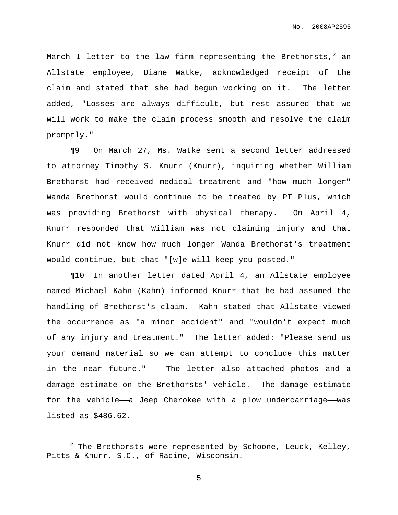March  $1$  letter to the law firm representing the Brethorsts, $^2$  an Allstate employee, Diane Watke, acknowledged receipt of the claim and stated that she had begun working on it. The letter added, "Losses are always difficult, but rest assured that we will work to make the claim process smooth and resolve the claim promptly."

¶9 On March 27, Ms. Watke sent a second letter addressed to attorney Timothy S. Knurr (Knurr), inquiring whether William Brethorst had received medical treatment and "how much longer" Wanda Brethorst would continue to be treated by PT Plus, which was providing Brethorst with physical therapy. On April 4, Knurr responded that William was not claiming injury and that Knurr did not know how much longer Wanda Brethorst's treatment would continue, but that "[w]e will keep you posted."

¶10 In another letter dated April 4, an Allstate employee named Michael Kahn (Kahn) informed Knurr that he had assumed the handling of Brethorst's claim. Kahn stated that Allstate viewed the occurrence as "a minor accident" and "wouldn't expect much of any injury and treatment." The letter added: "Please send us your demand material so we can attempt to conclude this matter in the near future." The letter also attached photos and a damage estimate on the Brethorsts' vehicle. The damage estimate for the vehicle—a Jeep Cherokee with a plow undercarriage—was listed as \$486.62.

 $2$  The Brethorsts were represented by Schoone, Leuck, Kelley, Pitts & Knurr, S.C., of Racine, Wisconsin.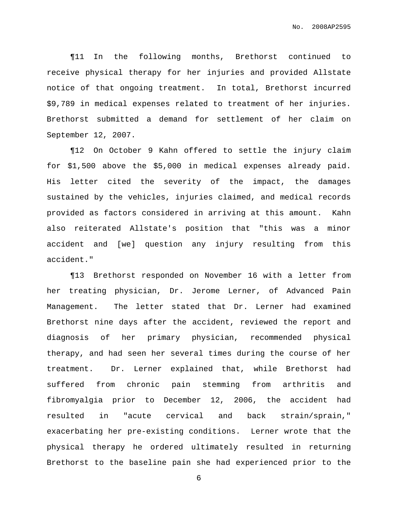¶11 In the following months, Brethorst continued to receive physical therapy for her injuries and provided Allstate notice of that ongoing treatment. In total, Brethorst incurred \$9,789 in medical expenses related to treatment of her injuries. Brethorst submitted a demand for settlement of her claim on September 12, 2007.

¶12 On October 9 Kahn offered to settle the injury claim for \$1,500 above the \$5,000 in medical expenses already paid. His letter cited the severity of the impact, the damages sustained by the vehicles, injuries claimed, and medical records provided as factors considered in arriving at this amount. Kahn also reiterated Allstate's position that "this was a minor accident and [we] question any injury resulting from this accident."

¶13 Brethorst responded on November 16 with a letter from her treating physician, Dr. Jerome Lerner, of Advanced Pain Management. The letter stated that Dr. Lerner had examined Brethorst nine days after the accident, reviewed the report and diagnosis of her primary physician, recommended physical therapy, and had seen her several times during the course of her treatment. Dr. Lerner explained that, while Brethorst had suffered from chronic pain stemming from arthritis and fibromyalgia prior to December 12, 2006, the accident had resulted in "acute cervical and back strain/sprain," exacerbating her pre-existing conditions. Lerner wrote that the physical therapy he ordered ultimately resulted in returning Brethorst to the baseline pain she had experienced prior to the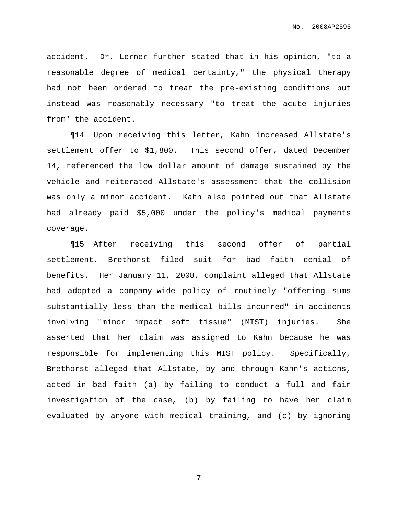accident. Dr. Lerner further stated that in his opinion, "to a reasonable degree of medical certainty," the physical therapy had not been ordered to treat the pre-existing conditions but instead was reasonably necessary "to treat the acute injuries from" the accident.

¶14 Upon receiving this letter, Kahn increased Allstate's settlement offer to \$1,800. This second offer, dated December 14, referenced the low dollar amount of damage sustained by the vehicle and reiterated Allstate's assessment that the collision was only a minor accident. Kahn also pointed out that Allstate had already paid \$5,000 under the policy's medical payments coverage.

¶15 After receiving this second offer of partial settlement, Brethorst filed suit for bad faith denial of benefits. Her January 11, 2008, complaint alleged that Allstate had adopted a company-wide policy of routinely "offering sums substantially less than the medical bills incurred" in accidents involving "minor impact soft tissue" (MIST) injuries. She asserted that her claim was assigned to Kahn because he was responsible for implementing this MIST policy. Specifically, Brethorst alleged that Allstate, by and through Kahn's actions, acted in bad faith (a) by failing to conduct a full and fair investigation of the case, (b) by failing to have her claim evaluated by anyone with medical training, and (c) by ignoring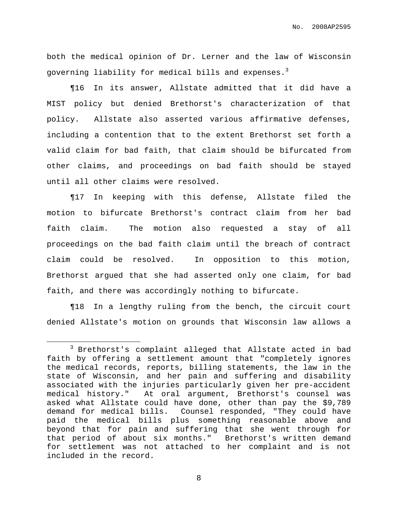both the medical opinion of Dr. Lerner and the law of Wisconsin governing liability for medical bills and expenses. $^3$ 

¶16 In its answer, Allstate admitted that it did have a MIST policy but denied Brethorst's characterization of that policy. Allstate also asserted various affirmative defenses, including a contention that to the extent Brethorst set forth a valid claim for bad faith, that claim should be bifurcated from other claims, and proceedings on bad faith should be stayed until all other claims were resolved.

¶17 In keeping with this defense, Allstate filed the motion to bifurcate Brethorst's contract claim from her bad faith claim. The motion also requested a stay of all proceedings on the bad faith claim until the breach of contract claim could be resolved. In opposition to this motion, Brethorst argued that she had asserted only one claim, for bad faith, and there was accordingly nothing to bifurcate.

¶18 In a lengthy ruling from the bench, the circuit court denied Allstate's motion on grounds that Wisconsin law allows a

<sup>3</sup> Brethorst's complaint alleged that Allstate acted in bad faith by offering a settlement amount that "completely ignores the medical records, reports, billing statements, the law in the state of Wisconsin, and her pain and suffering and disability associated with the injuries particularly given her pre-accident medical history." At oral argument, Brethorst's counsel was asked what Allstate could have done, other than pay the \$9,789 demand for medical bills. Counsel responded, "They could have paid the medical bills plus something reasonable above and beyond that for pain and suffering that she went through for that period of about six months." Brethorst's written demand for settlement was not attached to her complaint and is not included in the record.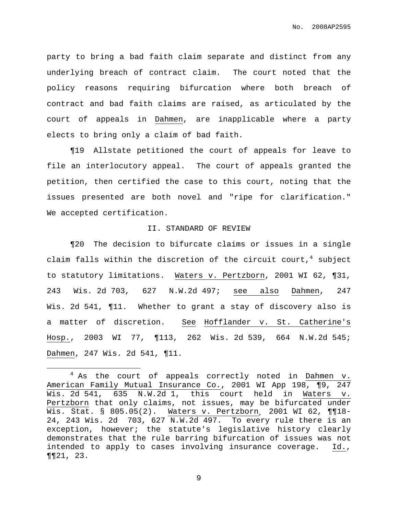party to bring a bad faith claim separate and distinct from any underlying breach of contract claim. The court noted that the policy reasons requiring bifurcation where both breach of contract and bad faith claims are raised, as articulated by the court of appeals in Dahmen, are inapplicable where a party elects to bring only a claim of bad faith.

¶19 Allstate petitioned the court of appeals for leave to file an interlocutory appeal. The court of appeals granted the petition, then certified the case to this court, noting that the issues presented are both novel and "ripe for clarification." We accepted certification.

#### II. STANDARD OF REVIEW

¶20 The decision to bifurcate claims or issues in a single claim falls within the discretion of the circuit court, <sup>4</sup> subject to statutory limitations. Waters v. Pertzborn, 2001 WI 62, ¶31, 243 Wis. 2d 703, 627 N.W.2d 497; see also Dahmen, 247 Wis. 2d 541, ¶11. Whether to grant a stay of discovery also is a matter of discretion. See Hofflander v. St. Catherine's Hosp., 2003 WI 77, ¶113, 262 Wis. 2d 539, 664 N.W.2d 545; Dahmen, 247 Wis. 2d 541, ¶11.

 $4$  As the court of appeals correctly noted in Dahmen v. American Family Mutual Insurance Co., 2001 WI App 198, ¶9, 247 Wis. 2d 541, 635 N.W.2d 1, this court held in Waters v. Pertzborn that only claims, not issues, may be bifurcated under Wis. Stat. § 805.05(2). Waters v. Pertzborn, 2001 WI 62, ¶¶18-24, 243 Wis. 2d 703, 627 N.W.2d 497. To every rule there is an exception, however; the statute's legislative history clearly demonstrates that the rule barring bifurcation of issues was not intended to apply to cases involving insurance coverage. Id., ¶¶21, 23.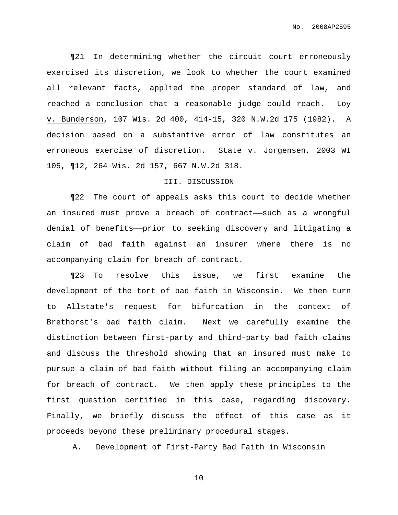No. 2008AP2595

¶21 In determining whether the circuit court erroneously exercised its discretion, we look to whether the court examined all relevant facts, applied the proper standard of law, and reached a conclusion that a reasonable judge could reach. Loy v. Bunderson, 107 Wis. 2d 400, 414-15, 320 N.W.2d 175 (1982). A decision based on a substantive error of law constitutes an erroneous exercise of discretion. State v. Jorgensen, 2003 WI 105, ¶12, 264 Wis. 2d 157, 667 N.W.2d 318.

#### III. DISCUSSION

¶22 The court of appeals asks this court to decide whether an insured must prove a breach of contract——such as a wrongful denial of benefits——prior to seeking discovery and litigating a claim of bad faith against an insurer where there is no accompanying claim for breach of contract.

¶23 To resolve this issue, we first examine the development of the tort of bad faith in Wisconsin. We then turn to Allstate's request for bifurcation in the context of Brethorst's bad faith claim. Next we carefully examine the distinction between first-party and third-party bad faith claims and discuss the threshold showing that an insured must make to pursue a claim of bad faith without filing an accompanying claim for breach of contract. We then apply these principles to the first question certified in this case, regarding discovery. Finally, we briefly discuss the effect of this case as it proceeds beyond these preliminary procedural stages.

A. Development of First-Party Bad Faith in Wisconsin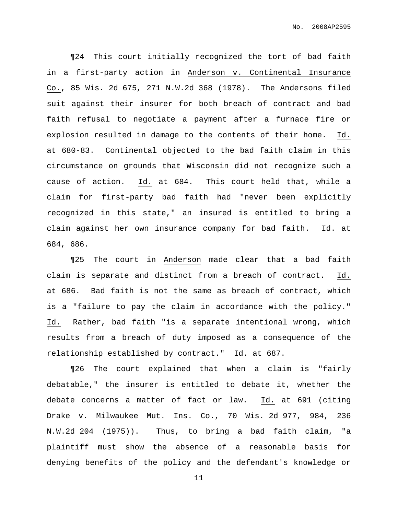¶24 This court initially recognized the tort of bad faith in a first-party action in Anderson v. Continental Insurance Co., 85 Wis. 2d 675, 271 N.W.2d 368 (1978). The Andersons filed suit against their insurer for both breach of contract and bad faith refusal to negotiate a payment after a furnace fire or explosion resulted in damage to the contents of their home. Id. at 680-83. Continental objected to the bad faith claim in this circumstance on grounds that Wisconsin did not recognize such a cause of action. Id. at 684. This court held that, while a claim for first-party bad faith had "never been explicitly recognized in this state," an insured is entitled to bring a claim against her own insurance company for bad faith. Id. at 684, 686.

¶25 The court in Anderson made clear that a bad faith claim is separate and distinct from a breach of contract. Id. at 686. Bad faith is not the same as breach of contract, which is a "failure to pay the claim in accordance with the policy." Id. Rather, bad faith "is a separate intentional wrong, which results from a breach of duty imposed as a consequence of the relationship established by contract." Id. at 687.

¶26 The court explained that when a claim is "fairly debatable," the insurer is entitled to debate it, whether the debate concerns a matter of fact or law. Id. at 691 (citing Drake v. Milwaukee Mut. Ins. Co., 70 Wis. 2d 977, 984, 236 N.W.2d 204 (1975)). Thus, to bring a bad faith claim, "a plaintiff must show the absence of a reasonable basis for denying benefits of the policy and the defendant's knowledge or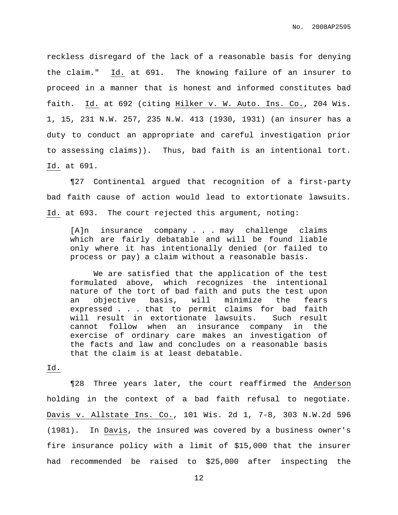reckless disregard of the lack of a reasonable basis for denying the claim." Id. at 691. The knowing failure of an insurer to proceed in a manner that is honest and informed constitutes bad faith. Id. at 692 (citing Hilker v. W. Auto. Ins. Co., 204 Wis. 1, 15, 231 N.W. 257, 235 N.W. 413 (1930, 1931) (an insurer has a duty to conduct an appropriate and careful investigation prior to assessing claims)). Thus, bad faith is an intentional tort. Id. at 691.

¶27 Continental argued that recognition of a first-party bad faith cause of action would lead to extortionate lawsuits. Id. at 693. The court rejected this argument, noting:

[A]n insurance company . . . may challenge claims which are fairly debatable and will be found liable only where it has intentionally denied (or failed to process or pay) a claim without a reasonable basis.

We are satisfied that the application of the test formulated above, which recognizes the intentional nature of the tort of bad faith and puts the test upon an objective basis, will minimize the fears expressed . . . that to permit claims for bad faith will result in extortionate lawsuits. Such result cannot follow when an insurance company in the exercise of ordinary care makes an investigation of the facts and law and concludes on a reasonable basis that the claim is at least debatable.

#### Id.

¶28 Three years later, the court reaffirmed the Anderson holding in the context of a bad faith refusal to negotiate. Davis v. Allstate Ins. Co., 101 Wis. 2d 1, 7-8, 303 N.W.2d 596 (1981). In Davis, the insured was covered by a business owner's fire insurance policy with a limit of \$15,000 that the insurer had recommended be raised to \$25,000 after inspecting the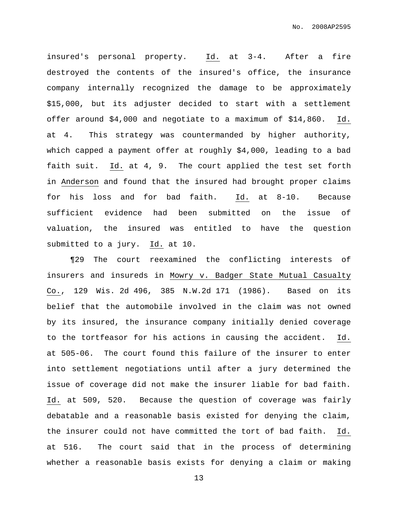insured's personal property. Id. at 3-4. After a fire destroyed the contents of the insured's office, the insurance company internally recognized the damage to be approximately \$15,000, but its adjuster decided to start with a settlement offer around \$4,000 and negotiate to a maximum of \$14,860. Id. at 4. This strategy was countermanded by higher authority, which capped a payment offer at roughly \$4,000, leading to a bad faith suit. Id. at 4, 9. The court applied the test set forth in Anderson and found that the insured had brought proper claims for his loss and for bad faith. Id. at 8-10. Because sufficient evidence had been submitted on the issue of valuation, the insured was entitled to have the question submitted to a jury. Id. at 10.

¶29 The court reexamined the conflicting interests of insurers and insureds in Mowry v. Badger State Mutual Casualty Co., 129 Wis. 2d 496, 385 N.W.2d 171 (1986). Based on its belief that the automobile involved in the claim was not owned by its insured, the insurance company initially denied coverage to the tortfeasor for his actions in causing the accident. Id. at 505-06. The court found this failure of the insurer to enter into settlement negotiations until after a jury determined the issue of coverage did not make the insurer liable for bad faith. Id. at 509, 520. Because the question of coverage was fairly debatable and a reasonable basis existed for denying the claim, the insurer could not have committed the tort of bad faith. Id. at 516. The court said that in the process of determining whether a reasonable basis exists for denying a claim or making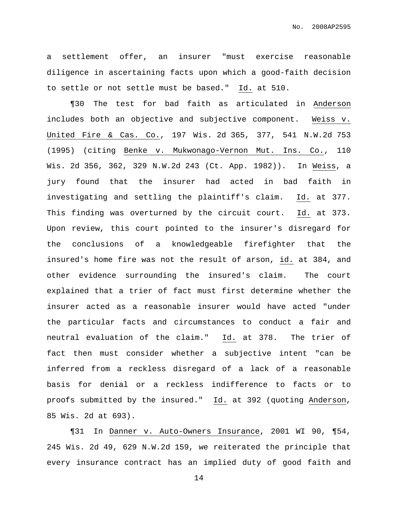No. 2008AP2595

a settlement offer, an insurer "must exercise reasonable diligence in ascertaining facts upon which a good-faith decision to settle or not settle must be based." Id. at 510.

¶30 The test for bad faith as articulated in Anderson includes both an objective and subjective component. Weiss v. United Fire & Cas. Co., 197 Wis. 2d 365, 377, 541 N.W.2d 753 (1995) (citing Benke v. Mukwonago-Vernon Mut. Ins. Co., 110 Wis. 2d 356, 362, 329 N.W.2d 243 (Ct. App. 1982)). In Weiss, a jury found that the insurer had acted in bad faith in investigating and settling the plaintiff's claim. Id. at 377. This finding was overturned by the circuit court. Id. at 373. Upon review, this court pointed to the insurer's disregard for the conclusions of a knowledgeable firefighter that the insured's home fire was not the result of arson, id. at 384, and other evidence surrounding the insured's claim. The court explained that a trier of fact must first determine whether the insurer acted as a reasonable insurer would have acted "under the particular facts and circumstances to conduct a fair and neutral evaluation of the claim." Id. at 378. The trier of fact then must consider whether a subjective intent "can be inferred from a reckless disregard of a lack of a reasonable basis for denial or a reckless indifference to facts or to proofs submitted by the insured." Id. at 392 (quoting Anderson, 85 Wis. 2d at 693).

¶31 In Danner v. Auto-Owners Insurance, 2001 WI 90, ¶54, 245 Wis. 2d 49, 629 N.W.2d 159, we reiterated the principle that every insurance contract has an implied duty of good faith and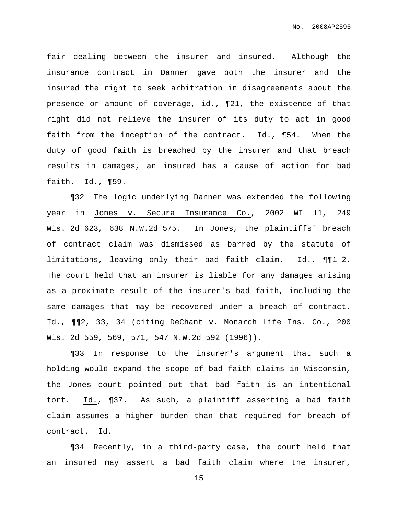fair dealing between the insurer and insured. Although the insurance contract in Danner gave both the insurer and the insured the right to seek arbitration in disagreements about the presence or amount of coverage, id., ¶21, the existence of that right did not relieve the insurer of its duty to act in good faith from the inception of the contract. Id., ¶54. When the duty of good faith is breached by the insurer and that breach results in damages, an insured has a cause of action for bad faith. Id., ¶59.

¶32 The logic underlying Danner was extended the following year in Jones v. Secura Insurance Co., 2002 WI 11, 249 Wis. 2d 623, 638 N.W.2d 575. In Jones, the plaintiffs' breach of contract claim was dismissed as barred by the statute of limitations, leaving only their bad faith claim. Id., ¶¶1-2. The court held that an insurer is liable for any damages arising as a proximate result of the insurer's bad faith, including the same damages that may be recovered under a breach of contract. Id., ¶¶2, 33, 34 (citing DeChant v. Monarch Life Ins. Co., 200 Wis. 2d 559, 569, 571, 547 N.W.2d 592 (1996)).

¶33 In response to the insurer's argument that such a holding would expand the scope of bad faith claims in Wisconsin, the Jones court pointed out that bad faith is an intentional tort. Id., ¶37. As such, a plaintiff asserting a bad faith claim assumes a higher burden than that required for breach of contract. Id.

¶34 Recently, in a third-party case, the court held that an insured may assert a bad faith claim where the insurer,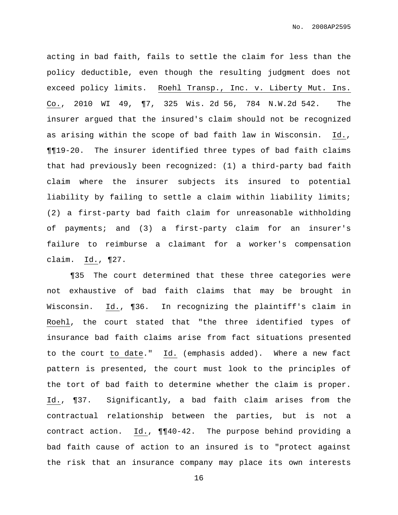acting in bad faith, fails to settle the claim for less than the policy deductible, even though the resulting judgment does not exceed policy limits. Roehl Transp., Inc. v. Liberty Mut. Ins. Co., 2010 WI 49, ¶7, 325 Wis. 2d 56, 784 N.W.2d 542. The insurer argued that the insured's claim should not be recognized as arising within the scope of bad faith law in Wisconsin. Id., ¶¶19-20. The insurer identified three types of bad faith claims that had previously been recognized: (1) a third-party bad faith claim where the insurer subjects its insured to potential liability by failing to settle a claim within liability limits; (2) a first-party bad faith claim for unreasonable withholding of payments; and (3) a first-party claim for an insurer's failure to reimburse a claimant for a worker's compensation claim. Id., ¶27.

¶35 The court determined that these three categories were not exhaustive of bad faith claims that may be brought in Wisconsin. Id., ¶36. In recognizing the plaintiff's claim in Roehl, the court stated that "the three identified types of insurance bad faith claims arise from fact situations presented to the court to date." Id. (emphasis added). Where a new fact pattern is presented, the court must look to the principles of the tort of bad faith to determine whether the claim is proper. Id., ¶37. Significantly, a bad faith claim arises from the contractual relationship between the parties, but is not a contract action. Id., ¶¶40-42. The purpose behind providing a bad faith cause of action to an insured is to "protect against the risk that an insurance company may place its own interests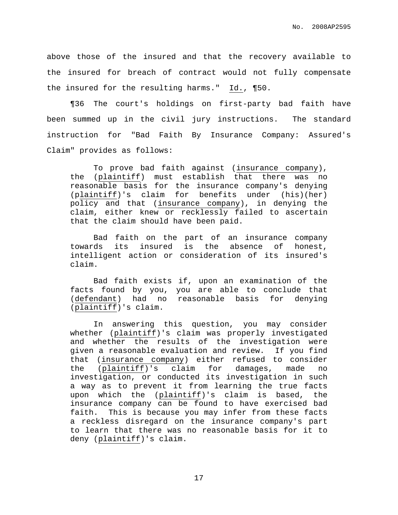No. 2008AP2595

above those of the insured and that the recovery available to the insured for breach of contract would not fully compensate the insured for the resulting harms." Id., ¶50.

¶36 The court's holdings on first-party bad faith have been summed up in the civil jury instructions. The standard instruction for "Bad Faith By Insurance Company: Assured's Claim" provides as follows:

To prove bad faith against (insurance company), the (plaintiff) must establish that there was no reasonable basis for the insurance company's denying (plaintiff)'s claim for benefits under (his)(her) policy and that (insurance company), in denying the claim, either knew or recklessly failed to ascertain that the claim should have been paid.

Bad faith on the part of an insurance company towards its insured is the absence of honest, intelligent action or consideration of its insured's claim.

Bad faith exists if, upon an examination of the facts found by you, you are able to conclude that (defendant) had no reasonable basis for denying (plaintiff)'s claim.

In answering this question, you may consider whether (plaintiff)'s claim was properly investigated and whether the results of the investigation were given a reasonable evaluation and review. If you find that (insurance company) either refused to consider the (plaintiff)'s claim for damages, made no investigation, or conducted its investigation in such a way as to prevent it from learning the true facts upon which the (plaintiff)'s claim is based, the insurance company can be found to have exercised bad faith. This is because you may infer from these facts a reckless disregard on the insurance company's part to learn that there was no reasonable basis for it to deny (plaintiff)'s claim.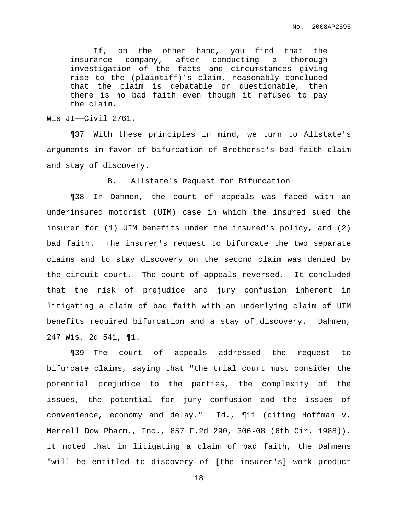If, on the other hand, you find that the insurance company, after conducting a thorough investigation of the facts and circumstances giving rise to the (plaintiff)'s claim, reasonably concluded that the claim is debatable or questionable, then there is no bad faith even though it refused to pay the claim.

Wis JI——Civil 2761.

¶37 With these principles in mind, we turn to Allstate's arguments in favor of bifurcation of Brethorst's bad faith claim and stay of discovery.

B. Allstate's Request for Bifurcation

¶38 In Dahmen, the court of appeals was faced with an underinsured motorist (UIM) case in which the insured sued the insurer for (1) UIM benefits under the insured's policy, and (2) bad faith. The insurer's request to bifurcate the two separate claims and to stay discovery on the second claim was denied by the circuit court. The court of appeals reversed. It concluded that the risk of prejudice and jury confusion inherent in litigating a claim of bad faith with an underlying claim of UIM benefits required bifurcation and a stay of discovery. Dahmen, 247 Wis. 2d 541, ¶1.

¶39 The court of appeals addressed the request to bifurcate claims, saying that "the trial court must consider the potential prejudice to the parties, the complexity of the issues, the potential for jury confusion and the issues of convenience, economy and delay." Id., ¶11 (citing Hoffman v. Merrell Dow Pharm., Inc., 857 F.2d 290, 306-08 (6th Cir. 1988)). It noted that in litigating a claim of bad faith, the Dahmens "will be entitled to discovery of [the insurer's] work product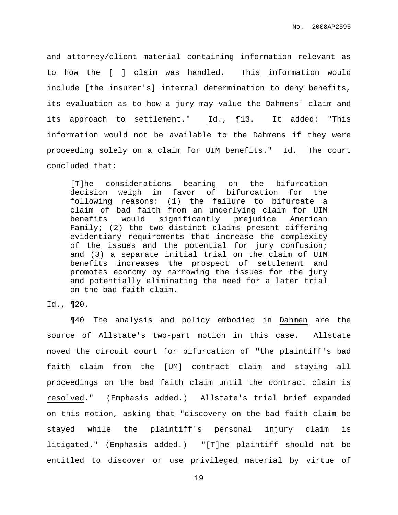and attorney/client material containing information relevant as to how the [ ] claim was handled. This information would include [the insurer's] internal determination to deny benefits, its evaluation as to how a jury may value the Dahmens' claim and its approach to settlement." Id., ¶13. It added: "This information would not be available to the Dahmens if they were proceeding solely on a claim for UIM benefits." Id. The court concluded that:

[T]he considerations bearing on the bifurcation decision weigh in favor of bifurcation for the following reasons: (1) the failure to bifurcate a claim of bad faith from an underlying claim for UIM benefits would significantly prejudice American Family; (2) the two distinct claims present differing evidentiary requirements that increase the complexity of the issues and the potential for jury confusion; and (3) a separate initial trial on the claim of UIM benefits increases the prospect of settlement and promotes economy by narrowing the issues for the jury and potentially eliminating the need for a later trial on the bad faith claim.

Id., ¶20.

¶40 The analysis and policy embodied in Dahmen are the source of Allstate's two-part motion in this case. Allstate moved the circuit court for bifurcation of "the plaintiff's bad faith claim from the [UM] contract claim and staying all proceedings on the bad faith claim until the contract claim is resolved." (Emphasis added.) Allstate's trial brief expanded on this motion, asking that "discovery on the bad faith claim be stayed while the plaintiff's personal injury claim is litigated." (Emphasis added.) "[T]he plaintiff should not be entitled to discover or use privileged material by virtue of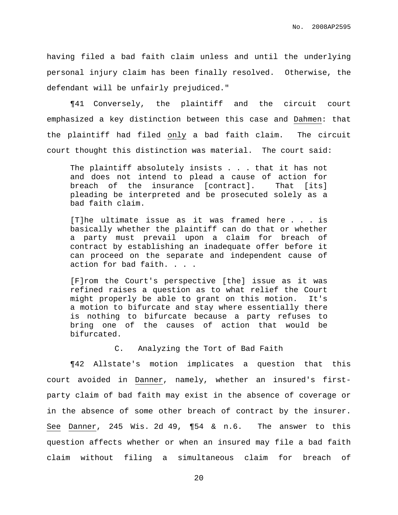having filed a bad faith claim unless and until the underlying personal injury claim has been finally resolved. Otherwise, the defendant will be unfairly prejudiced."

¶41 Conversely, the plaintiff and the circuit court emphasized a key distinction between this case and Dahmen: that the plaintiff had filed only a bad faith claim. The circuit court thought this distinction was material. The court said:

The plaintiff absolutely insists . . . that it has not and does not intend to plead a cause of action for breach of the insurance [contract]. That [its] pleading be interpreted and be prosecuted solely as a bad faith claim.

[T]he ultimate issue as it was framed here . . . is basically whether the plaintiff can do that or whether a party must prevail upon a claim for breach of contract by establishing an inadequate offer before it can proceed on the separate and independent cause of action for bad faith. . . .

[F]rom the Court's perspective [the] issue as it was refined raises a question as to what relief the Court might properly be able to grant on this motion. It's a motion to bifurcate and stay where essentially there is nothing to bifurcate because a party refuses to bring one of the causes of action that would be bifurcated.

C. Analyzing the Tort of Bad Faith

¶42 Allstate's motion implicates a question that this court avoided in Danner, namely, whether an insured's firstparty claim of bad faith may exist in the absence of coverage or in the absence of some other breach of contract by the insurer. See Danner, 245 Wis. 2d 49, ¶54 & n.6. The answer to this question affects whether or when an insured may file a bad faith claim without filing a simultaneous claim for breach of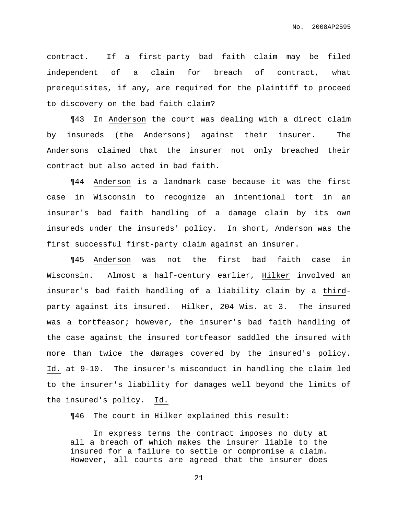contract. If a first-party bad faith claim may be filed independent of a claim for breach of contract, what prerequisites, if any, are required for the plaintiff to proceed to discovery on the bad faith claim?

¶43 In Anderson the court was dealing with a direct claim by insureds (the Andersons) against their insurer. The Andersons claimed that the insurer not only breached their contract but also acted in bad faith.

¶44 Anderson is a landmark case because it was the first case in Wisconsin to recognize an intentional tort in an insurer's bad faith handling of a damage claim by its own insureds under the insureds' policy. In short, Anderson was the first successful first-party claim against an insurer.

¶45 Anderson was not the first bad faith case in Wisconsin. Almost a half-century earlier, Hilker involved an insurer's bad faith handling of a liability claim by a thirdparty against its insured. Hilker, 204 Wis. at 3. The insured was a tortfeasor; however, the insurer's bad faith handling of the case against the insured tortfeasor saddled the insured with more than twice the damages covered by the insured's policy. Id. at 9-10. The insurer's misconduct in handling the claim led to the insurer's liability for damages well beyond the limits of the insured's policy. Id.

¶46 The court in Hilker explained this result:

In express terms the contract imposes no duty at all a breach of which makes the insurer liable to the insured for a failure to settle or compromise a claim. However, all courts are agreed that the insurer does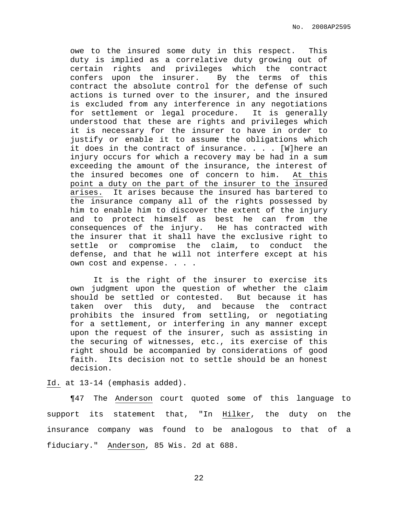owe to the insured some duty in this respect. This duty is implied as a correlative duty growing out of certain rights and privileges which the contract confers upon the insurer. By the terms of this contract the absolute control for the defense of such actions is turned over to the insurer, and the insured is excluded from any interference in any negotiations for settlement or legal procedure. It is generally understood that these are rights and privileges which it is necessary for the insurer to have in order to justify or enable it to assume the obligations which it does in the contract of insurance. . . . [W]here an injury occurs for which a recovery may be had in a sum exceeding the amount of the insurance, the interest of the insured becomes one of concern to him. At this point a duty on the part of the insurer to the insured arises. It arises because the insured has bartered to the insurance company all of the rights possessed by him to enable him to discover the extent of the injury and to protect himself as best he can from the consequences of the injury. He has contracted with the insurer that it shall have the exclusive right to settle or compromise the claim, to conduct the defense, and that he will not interfere except at his own cost and expense. . . .

It is the right of the insurer to exercise its own judgment upon the question of whether the claim should be settled or contested. But because it has taken over this duty, and because the contract prohibits the insured from settling, or negotiating for a settlement, or interfering in any manner except upon the request of the insurer, such as assisting in the securing of witnesses, etc., its exercise of this right should be accompanied by considerations of good faith. Its decision not to settle should be an honest decision.

Id. at 13-14 (emphasis added).

¶47 The Anderson court quoted some of this language to support its statement that, "In Hilker, the duty on the insurance company was found to be analogous to that of a fiduciary." Anderson, 85 Wis. 2d at 688.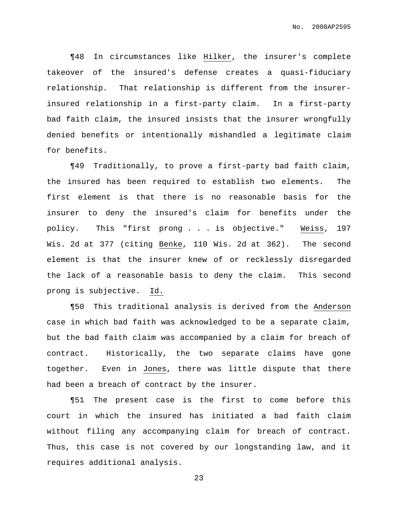¶48 In circumstances like Hilker, the insurer's complete takeover of the insured's defense creates a quasi-fiduciary relationship. That relationship is different from the insurerinsured relationship in a first-party claim. In a first-party bad faith claim, the insured insists that the insurer wrongfully denied benefits or intentionally mishandled a legitimate claim for benefits.

¶49 Traditionally, to prove a first-party bad faith claim, the insured has been required to establish two elements. The first element is that there is no reasonable basis for the insurer to deny the insured's claim for benefits under the policy. This "first prong . . . is objective." Weiss, 197 Wis. 2d at 377 (citing Benke, 110 Wis. 2d at 362). The second element is that the insurer knew of or recklessly disregarded the lack of a reasonable basis to deny the claim. This second prong is subjective. Id.

¶50 This traditional analysis is derived from the Anderson case in which bad faith was acknowledged to be a separate claim, but the bad faith claim was accompanied by a claim for breach of contract. Historically, the two separate claims have gone together. Even in Jones, there was little dispute that there had been a breach of contract by the insurer.

¶51 The present case is the first to come before this court in which the insured has initiated a bad faith claim without filing any accompanying claim for breach of contract. Thus, this case is not covered by our longstanding law, and it requires additional analysis.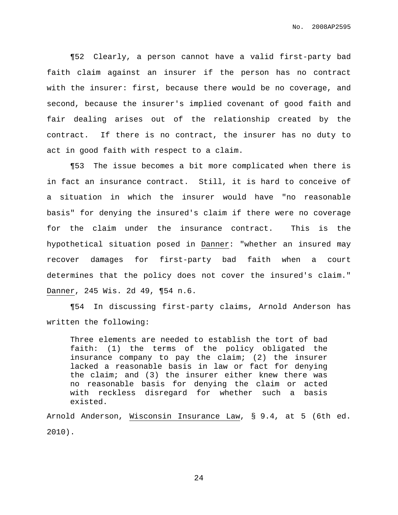¶52 Clearly, a person cannot have a valid first-party bad faith claim against an insurer if the person has no contract with the insurer: first, because there would be no coverage, and second, because the insurer's implied covenant of good faith and fair dealing arises out of the relationship created by the contract. If there is no contract, the insurer has no duty to act in good faith with respect to a claim.

¶53 The issue becomes a bit more complicated when there is in fact an insurance contract. Still, it is hard to conceive of a situation in which the insurer would have "no reasonable basis" for denying the insured's claim if there were no coverage for the claim under the insurance contract. This is the hypothetical situation posed in Danner: "whether an insured may recover damages for first-party bad faith when a court determines that the policy does not cover the insured's claim." Danner, 245 Wis. 2d 49, ¶54 n.6.

¶54 In discussing first-party claims, Arnold Anderson has written the following:

Three elements are needed to establish the tort of bad faith: (1) the terms of the policy obligated the insurance company to pay the claim; (2) the insurer lacked a reasonable basis in law or fact for denying the claim; and (3) the insurer either knew there was no reasonable basis for denying the claim or acted with reckless disregard for whether such a basis existed.

Arnold Anderson, Wisconsin Insurance Law, § 9.4, at 5 (6th ed. 2010).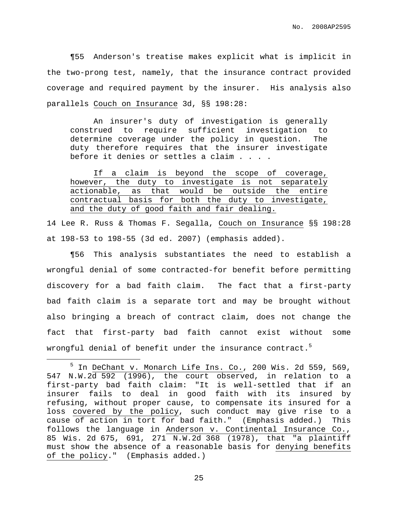¶55 Anderson's treatise makes explicit what is implicit in the two-prong test, namely, that the insurance contract provided coverage and required payment by the insurer. His analysis also parallels Couch on Insurance 3d, §§ 198:28:

An insurer's duty of investigation is generally construed to require sufficient investigation to determine coverage under the policy in question. The duty therefore requires that the insurer investigate before it denies or settles a claim . . . .

If a claim is beyond the scope of coverage, however, the duty to investigate is not separately actionable, as that would be outside the entire contractual basis for both the duty to investigate, and the duty of good faith and fair dealing.

14 Lee R. Russ & Thomas F. Segalla, Couch on Insurance §§ 198:28 at 198-53 to 198-55 (3d ed. 2007) (emphasis added).

¶56 This analysis substantiates the need to establish a wrongful denial of some contracted-for benefit before permitting discovery for a bad faith claim. The fact that a first-party bad faith claim is a separate tort and may be brought without also bringing a breach of contract claim, does not change the fact that first-party bad faith cannot exist without some wrongful denial of benefit under the insurance contract. $^5$ 

 $<sup>5</sup>$  In DeChant v. Monarch Life Ins. Co., 200 Wis. 2d 559, 569,</sup> 547 N.W.2d 592 (1996), the court observed, in relation to a first-party bad faith claim: "It is well-settled that if an insurer fails to deal in good faith with its insured by refusing, without proper cause, to compensate its insured for a loss covered by the policy, such conduct may give rise to a cause of action in tort for bad faith." (Emphasis added.) This follows the language in Anderson v. Continental Insurance Co., 85 Wis. 2d 675, 691, 271 N.W.2d 368 (1978), that "a plaintiff must show the absence of a reasonable basis for denying benefits of the policy." (Emphasis added.)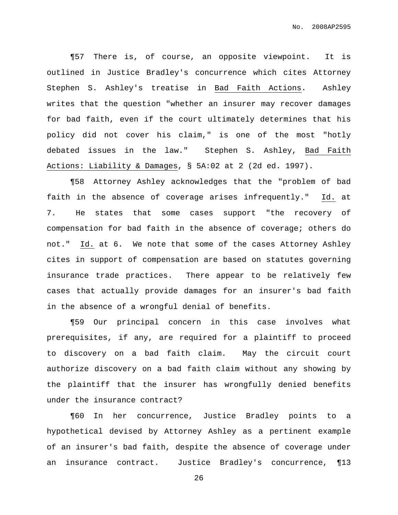¶57 There is, of course, an opposite viewpoint. It is outlined in Justice Bradley's concurrence which cites Attorney Stephen S. Ashley's treatise in Bad Faith Actions. Ashley writes that the question "whether an insurer may recover damages for bad faith, even if the court ultimately determines that his policy did not cover his claim," is one of the most "hotly debated issues in the law." Stephen S. Ashley, Bad Faith Actions: Liability & Damages, § 5A:02 at 2 (2d ed. 1997).

¶58 Attorney Ashley acknowledges that the "problem of bad faith in the absence of coverage arises infrequently." Id. at 7. He states that some cases support "the recovery of compensation for bad faith in the absence of coverage; others do not." Id. at 6. We note that some of the cases Attorney Ashley cites in support of compensation are based on statutes governing insurance trade practices. There appear to be relatively few cases that actually provide damages for an insurer's bad faith in the absence of a wrongful denial of benefits.

¶59 Our principal concern in this case involves what prerequisites, if any, are required for a plaintiff to proceed to discovery on a bad faith claim. May the circuit court authorize discovery on a bad faith claim without any showing by the plaintiff that the insurer has wrongfully denied benefits under the insurance contract?

¶60 In her concurrence, Justice Bradley points to a hypothetical devised by Attorney Ashley as a pertinent example of an insurer's bad faith, despite the absence of coverage under an insurance contract. Justice Bradley's concurrence, ¶13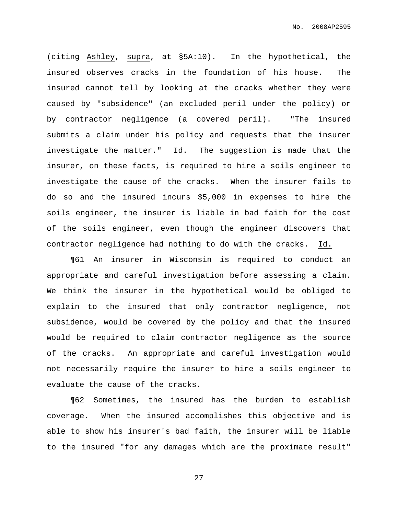(citing Ashley, supra, at §5A:10). In the hypothetical, the insured observes cracks in the foundation of his house. The insured cannot tell by looking at the cracks whether they were caused by "subsidence" (an excluded peril under the policy) or by contractor negligence (a covered peril). "The insured submits a claim under his policy and requests that the insurer investigate the matter." Id. The suggestion is made that the insurer, on these facts, is required to hire a soils engineer to investigate the cause of the cracks. When the insurer fails to do so and the insured incurs \$5,000 in expenses to hire the soils engineer, the insurer is liable in bad faith for the cost of the soils engineer, even though the engineer discovers that contractor negligence had nothing to do with the cracks. Id.

¶61 An insurer in Wisconsin is required to conduct an appropriate and careful investigation before assessing a claim. We think the insurer in the hypothetical would be obliged to explain to the insured that only contractor negligence, not subsidence, would be covered by the policy and that the insured would be required to claim contractor negligence as the source of the cracks. An appropriate and careful investigation would not necessarily require the insurer to hire a soils engineer to evaluate the cause of the cracks.

¶62 Sometimes, the insured has the burden to establish coverage. When the insured accomplishes this objective and is able to show his insurer's bad faith, the insurer will be liable to the insured "for any damages which are the proximate result"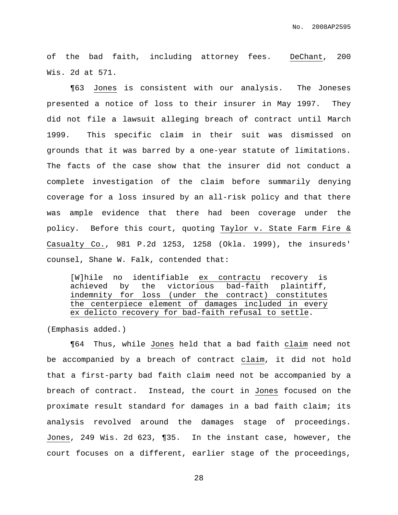of the bad faith, including attorney fees. DeChant, 200 Wis. 2d at 571.

¶63 Jones is consistent with our analysis. The Joneses presented a notice of loss to their insurer in May 1997. They did not file a lawsuit alleging breach of contract until March 1999. This specific claim in their suit was dismissed on grounds that it was barred by a one-year statute of limitations. The facts of the case show that the insurer did not conduct a complete investigation of the claim before summarily denying coverage for a loss insured by an all-risk policy and that there was ample evidence that there had been coverage under the policy. Before this court, quoting Taylor v. State Farm Fire & Casualty Co., 981 P.2d 1253, 1258 (Okla. 1999), the insureds' counsel, Shane W. Falk, contended that:

[W]hile no identifiable ex contractu recovery is achieved by the victorious bad-faith plaintiff, indemnity for loss (under the contract) constitutes the centerpiece element of damages included in every ex delicto recovery for bad-faith refusal to settle.

(Emphasis added.)

¶64 Thus, while Jones held that a bad faith claim need not be accompanied by a breach of contract claim, it did not hold that a first-party bad faith claim need not be accompanied by a breach of contract. Instead, the court in Jones focused on the proximate result standard for damages in a bad faith claim; its analysis revolved around the damages stage of proceedings. Jones, 249 Wis. 2d 623, ¶35. In the instant case, however, the court focuses on a different, earlier stage of the proceedings,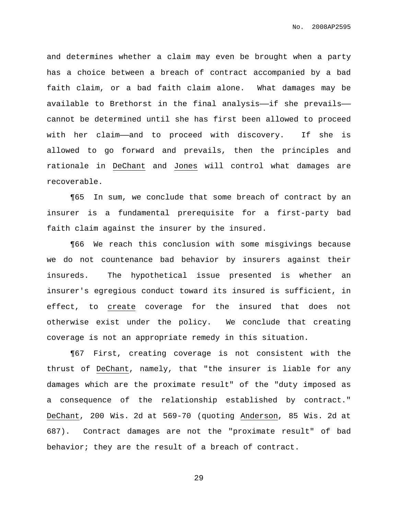and determines whether a claim may even be brought when a party has a choice between a breach of contract accompanied by a bad faith claim, or a bad faith claim alone. What damages may be available to Brethorst in the final analysis——if she prevails— cannot be determined until she has first been allowed to proceed with her claim—and to proceed with discovery. If she is allowed to go forward and prevails, then the principles and rationale in DeChant and Jones will control what damages are recoverable.

¶65 In sum, we conclude that some breach of contract by an insurer is a fundamental prerequisite for a first-party bad faith claim against the insurer by the insured.

¶66 We reach this conclusion with some misgivings because we do not countenance bad behavior by insurers against their insureds. The hypothetical issue presented is whether an insurer's egregious conduct toward its insured is sufficient, in effect, to create coverage for the insured that does not otherwise exist under the policy. We conclude that creating coverage is not an appropriate remedy in this situation.

¶67 First, creating coverage is not consistent with the thrust of DeChant, namely, that "the insurer is liable for any damages which are the proximate result" of the "duty imposed as a consequence of the relationship established by contract." DeChant, 200 Wis. 2d at 569-70 (quoting Anderson, 85 Wis. 2d at 687). Contract damages are not the "proximate result" of bad behavior; they are the result of a breach of contract.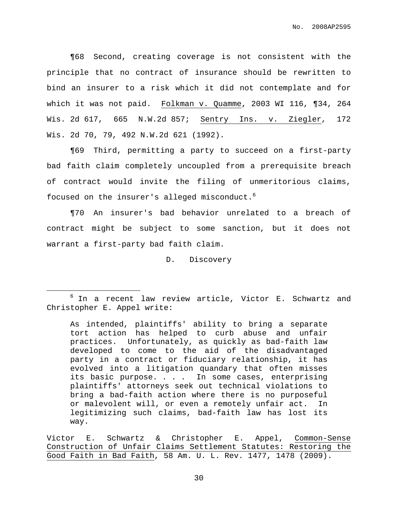¶68 Second, creating coverage is not consistent with the principle that no contract of insurance should be rewritten to bind an insurer to a risk which it did not contemplate and for which it was not paid. Folkman v. Quamme, 2003 WI 116, ¶34, 264 Wis. 2d 617, 665 N.W.2d 857; Sentry Ins. v. Ziegler, 172 Wis. 2d 70, 79, 492 N.W.2d 621 (1992).

¶69 Third, permitting a party to succeed on a first-party bad faith claim completely uncoupled from a prerequisite breach of contract would invite the filing of unmeritorious claims, focused on the insurer's alleged misconduct. 6

¶70 An insurer's bad behavior unrelated to a breach of contract might be subject to some sanction, but it does not warrant a first-party bad faith claim.

D. Discovery

<sup>6</sup> In a recent law review article, Victor E. Schwartz and Christopher E. Appel write:

As intended, plaintiffs' ability to bring a separate tort action has helped to curb abuse and unfair practices. Unfortunately, as quickly as bad-faith law developed to come to the aid of the disadvantaged party in a contract or fiduciary relationship, it has evolved into a litigation quandary that often misses its basic purpose. . . . In some cases, enterprising plaintiffs' attorneys seek out technical violations to bring a bad-faith action where there is no purposeful or malevolent will, or even a remotely unfair act. In legitimizing such claims, bad-faith law has lost its way.

Victor E. Schwartz & Christopher E. Appel, Common-Sense Construction of Unfair Claims Settlement Statutes: Restoring the Good Faith in Bad Faith, 58 Am. U. L. Rev. 1477, 1478 (2009).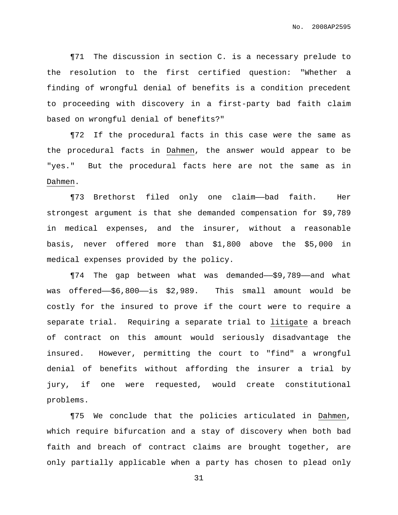¶71 The discussion in section C. is a necessary prelude to the resolution to the first certified question: "Whether a finding of wrongful denial of benefits is a condition precedent to proceeding with discovery in a first-party bad faith claim based on wrongful denial of benefits?"

¶72 If the procedural facts in this case were the same as the procedural facts in Dahmen, the answer would appear to be "yes." But the procedural facts here are not the same as in Dahmen.

¶73 Brethorst filed only one claim——bad faith. Her strongest argument is that she demanded compensation for \$9,789 in medical expenses, and the insurer, without a reasonable basis, never offered more than \$1,800 above the \$5,000 in medical expenses provided by the policy.

¶74 The gap between what was demanded——\$9,789——and what was offered——\$6,800——is \$2,989. This small amount would be costly for the insured to prove if the court were to require a separate trial. Requiring a separate trial to litigate a breach of contract on this amount would seriously disadvantage the insured. However, permitting the court to "find" a wrongful denial of benefits without affording the insurer a trial by jury, if one were requested, would create constitutional problems.

¶75 We conclude that the policies articulated in Dahmen, which require bifurcation and a stay of discovery when both bad faith and breach of contract claims are brought together, are only partially applicable when a party has chosen to plead only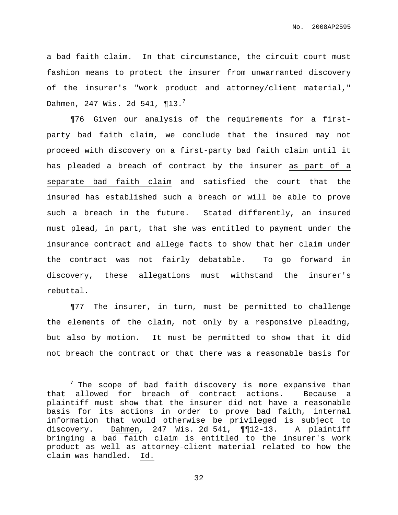a bad faith claim. In that circumstance, the circuit court must fashion means to protect the insurer from unwarranted discovery of the insurer's "work product and attorney/client material," Dahmen, 247 Wis. 2d 541, ¶13. $^7$ 

¶76 Given our analysis of the requirements for a firstparty bad faith claim, we conclude that the insured may not proceed with discovery on a first-party bad faith claim until it has pleaded a breach of contract by the insurer as part of a separate bad faith claim and satisfied the court that the insured has established such a breach or will be able to prove such a breach in the future. Stated differently, an insured must plead, in part, that she was entitled to payment under the insurance contract and allege facts to show that her claim under the contract was not fairly debatable. To go forward in discovery, these allegations must withstand the insurer's rebuttal.

¶77 The insurer, in turn, must be permitted to challenge the elements of the claim, not only by a responsive pleading, but also by motion. It must be permitted to show that it did not breach the contract or that there was a reasonable basis for

 $7$  The scope of bad faith discovery is more expansive than that allowed for breach of contract actions. Because a plaintiff must show that the insurer did not have a reasonable basis for its actions in order to prove bad faith, internal information that would otherwise be privileged is subject to discovery. Dahmen, 247 Wis. 2d 541, ¶¶12-13. A plaintiff bringing a bad faith claim is entitled to the insurer's work product as well as attorney-client material related to how the claim was handled. Id.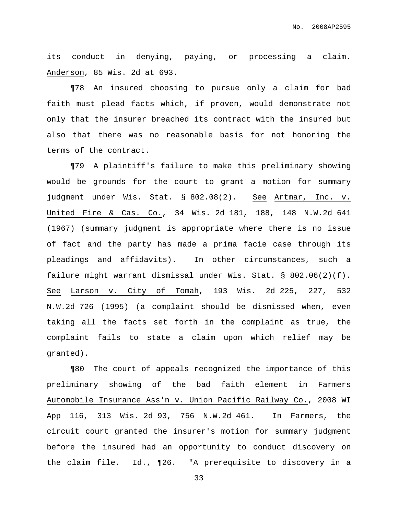its conduct in denying, paying, or processing a claim. Anderson, 85 Wis. 2d at 693.

¶78 An insured choosing to pursue only a claim for bad faith must plead facts which, if proven, would demonstrate not only that the insurer breached its contract with the insured but also that there was no reasonable basis for not honoring the terms of the contract.

¶79 A plaintiff's failure to make this preliminary showing would be grounds for the court to grant a motion for summary judgment under Wis. Stat. § 802.08(2). See Artmar, Inc. v. United Fire & Cas. Co., 34 Wis. 2d 181, 188, 148 N.W.2d 641 (1967) (summary judgment is appropriate where there is no issue of fact and the party has made a prima facie case through its pleadings and affidavits). In other circumstances, such a failure might warrant dismissal under Wis. Stat. § 802.06(2)(f). See Larson v. City of Tomah, 193 Wis. 2d 225, 227, 532 N.W.2d 726 (1995) (a complaint should be dismissed when, even taking all the facts set forth in the complaint as true, the complaint fails to state a claim upon which relief may be granted).

¶80 The court of appeals recognized the importance of this preliminary showing of the bad faith element in Farmers Automobile Insurance Ass'n v. Union Pacific Railway Co., 2008 WI App 116, 313 Wis. 2d 93, 756 N.W.2d 461. In Farmers, the circuit court granted the insurer's motion for summary judgment before the insured had an opportunity to conduct discovery on the claim file. Id., ¶26. "A prerequisite to discovery in a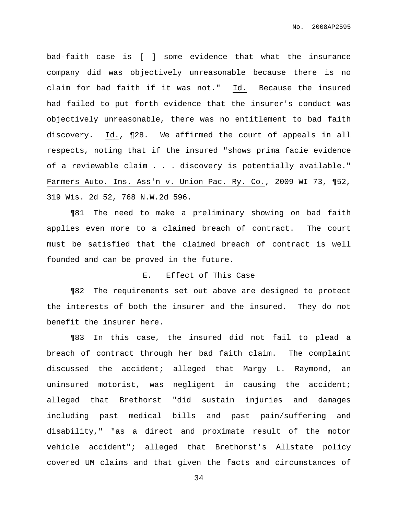bad-faith case is [ ] some evidence that what the insurance company did was objectively unreasonable because there is no claim for bad faith if it was not." Id. Because the insured had failed to put forth evidence that the insurer's conduct was objectively unreasonable, there was no entitlement to bad faith discovery. Id., ¶28. We affirmed the court of appeals in all respects, noting that if the insured "shows prima facie evidence of a reviewable claim . . . discovery is potentially available." Farmers Auto. Ins. Ass'n v. Union Pac. Ry. Co., 2009 WI 73, ¶52, 319 Wis. 2d 52, 768 N.W.2d 596.

¶81 The need to make a preliminary showing on bad faith applies even more to a claimed breach of contract. The court must be satisfied that the claimed breach of contract is well founded and can be proved in the future.

### E. Effect of This Case

¶82 The requirements set out above are designed to protect the interests of both the insurer and the insured. They do not benefit the insurer here.

¶83 In this case, the insured did not fail to plead a breach of contract through her bad faith claim. The complaint discussed the accident; alleged that Margy L. Raymond, an uninsured motorist, was negligent in causing the accident; alleged that Brethorst "did sustain injuries and damages including past medical bills and past pain/suffering and disability," "as a direct and proximate result of the motor vehicle accident"; alleged that Brethorst's Allstate policy covered UM claims and that given the facts and circumstances of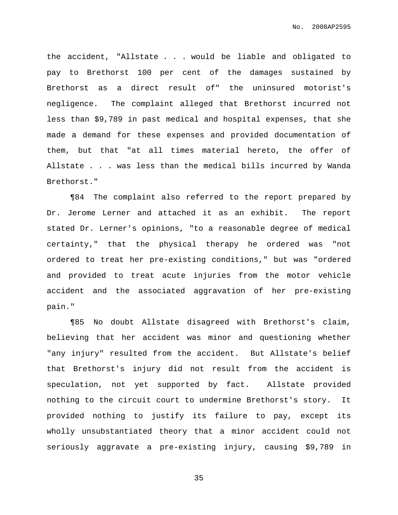the accident, "Allstate . . . would be liable and obligated to pay to Brethorst 100 per cent of the damages sustained by Brethorst as a direct result of" the uninsured motorist's negligence. The complaint alleged that Brethorst incurred not less than \$9,789 in past medical and hospital expenses, that she made a demand for these expenses and provided documentation of them, but that "at all times material hereto, the offer of Allstate . . . was less than the medical bills incurred by Wanda Brethorst."

¶84 The complaint also referred to the report prepared by Dr. Jerome Lerner and attached it as an exhibit. The report stated Dr. Lerner's opinions, "to a reasonable degree of medical certainty," that the physical therapy he ordered was "not ordered to treat her pre-existing conditions," but was "ordered and provided to treat acute injuries from the motor vehicle accident and the associated aggravation of her pre-existing pain."

¶85 No doubt Allstate disagreed with Brethorst's claim, believing that her accident was minor and questioning whether "any injury" resulted from the accident. But Allstate's belief that Brethorst's injury did not result from the accident is speculation, not yet supported by fact. Allstate provided nothing to the circuit court to undermine Brethorst's story. It provided nothing to justify its failure to pay, except its wholly unsubstantiated theory that a minor accident could not seriously aggravate a pre-existing injury, causing \$9,789 in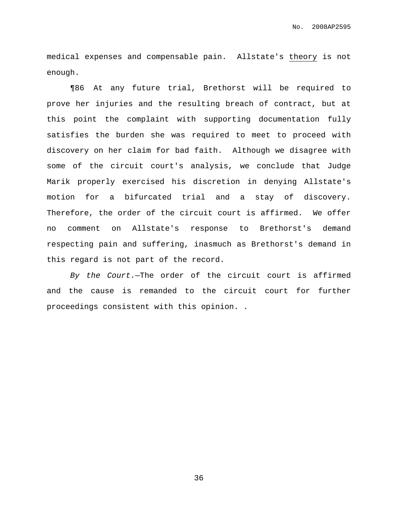medical expenses and compensable pain. Allstate's theory is not enough.

¶86 At any future trial, Brethorst will be required to prove her injuries and the resulting breach of contract, but at this point the complaint with supporting documentation fully satisfies the burden she was required to meet to proceed with discovery on her claim for bad faith. Although we disagree with some of the circuit court's analysis, we conclude that Judge Marik properly exercised his discretion in denying Allstate's motion for a bifurcated trial and a stay of discovery. Therefore, the order of the circuit court is affirmed. We offer no comment on Allstate's response to Brethorst's demand respecting pain and suffering, inasmuch as Brethorst's demand in this regard is not part of the record.

By the Court.—The order of the circuit court is affirmed and the cause is remanded to the circuit court for further proceedings consistent with this opinion. .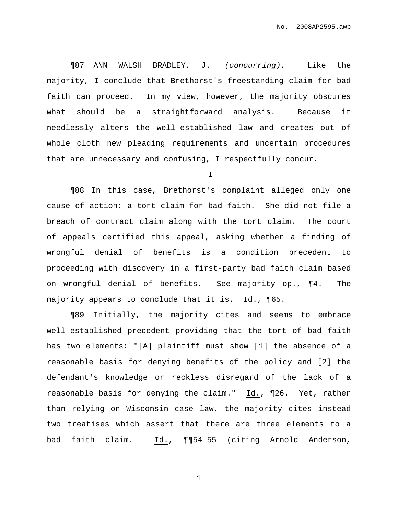¶87 ANN WALSH BRADLEY, J. (concurring). Like the majority, I conclude that Brethorst's freestanding claim for bad faith can proceed. In my view, however, the majority obscures what should be a straightforward analysis. Because it needlessly alters the well-established law and creates out of whole cloth new pleading requirements and uncertain procedures that are unnecessary and confusing, I respectfully concur.

I

¶88 In this case, Brethorst's complaint alleged only one cause of action: a tort claim for bad faith. She did not file a breach of contract claim along with the tort claim. The court of appeals certified this appeal, asking whether a finding of wrongful denial of benefits is a condition precedent to proceeding with discovery in a first-party bad faith claim based on wrongful denial of benefits. See majority op., ¶4. The majority appears to conclude that it is. Id., ¶65.

¶89 Initially, the majority cites and seems to embrace well-established precedent providing that the tort of bad faith has two elements: "[A] plaintiff must show [1] the absence of a reasonable basis for denying benefits of the policy and [2] the defendant's knowledge or reckless disregard of the lack of a reasonable basis for denying the claim." Id., ¶26. Yet, rather than relying on Wisconsin case law, the majority cites instead two treatises which assert that there are three elements to a bad faith claim. Id., ¶¶54-55 (citing Arnold Anderson,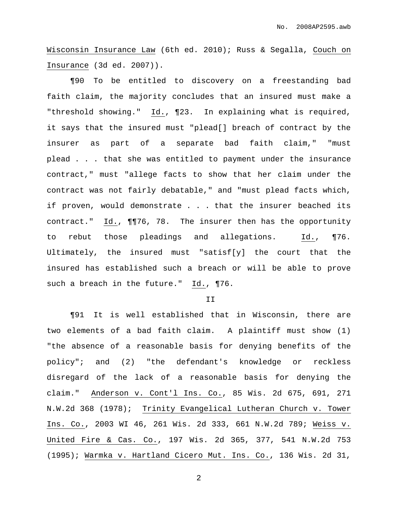Wisconsin Insurance Law (6th ed. 2010); Russ & Segalla, Couch on Insurance (3d ed. 2007)).

¶90 To be entitled to discovery on a freestanding bad faith claim, the majority concludes that an insured must make a "threshold showing." Id., ¶23. In explaining what is required, it says that the insured must "plead[] breach of contract by the insurer as part of a separate bad faith claim," "must plead . . . that she was entitled to payment under the insurance contract," must "allege facts to show that her claim under the contract was not fairly debatable," and "must plead facts which, if proven, would demonstrate . . . that the insurer beached its contract." Id., ¶¶76, 78. The insurer then has the opportunity to rebut those pleadings and allegations. Id., ¶76. Ultimately, the insured must "satisf[y] the court that the insured has established such a breach or will be able to prove such a breach in the future." Id., ¶76.

#### II

¶91 It is well established that in Wisconsin, there are two elements of a bad faith claim. A plaintiff must show (1) "the absence of a reasonable basis for denying benefits of the policy"; and (2) "the defendant's knowledge or reckless disregard of the lack of a reasonable basis for denying the claim." Anderson v. Cont'l Ins. Co., 85 Wis. 2d 675, 691, 271 N.W.2d 368 (1978); Trinity Evangelical Lutheran Church v. Tower Ins. Co., 2003 WI 46, 261 Wis. 2d 333, 661 N.W.2d 789; Weiss v. United Fire & Cas. Co., 197 Wis. 2d 365, 377, 541 N.W.2d 753 (1995); Warmka v. Hartland Cicero Mut. Ins. Co., 136 Wis. 2d 31,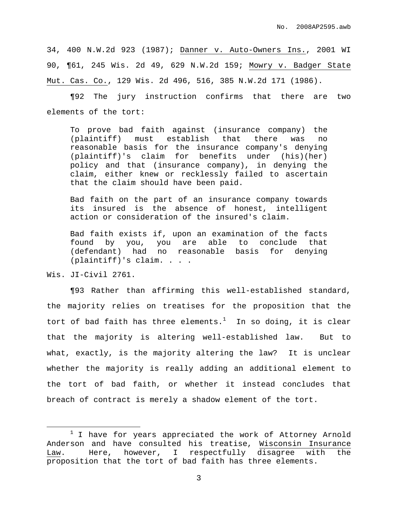34, 400 N.W.2d 923 (1987); Danner v. Auto-Owners Ins., 2001 WI 90, ¶61, 245 Wis. 2d 49, 629 N.W.2d 159; Mowry v. Badger State Mut. Cas. Co., 129 Wis. 2d 496, 516, 385 N.W.2d 171 (1986).

¶92 The jury instruction confirms that there are two elements of the tort:

To prove bad faith against (insurance company) the (plaintiff) must establish that there was no reasonable basis for the insurance company's denying (plaintiff)'s claim for benefits under (his)(her) policy and that (insurance company), in denying the claim, either knew or recklessly failed to ascertain that the claim should have been paid.

Bad faith on the part of an insurance company towards its insured is the absence of honest, intelligent action or consideration of the insured's claim.

Bad faith exists if, upon an examination of the facts found by you, you are able to conclude that (defendant) had no reasonable basis for denying (plaintiff)'s claim. . . .

Wis. JI-Civil 2761.

¶93 Rather than affirming this well-established standard, the majority relies on treatises for the proposition that the tort of bad faith has three elements. $^1$  In so doing, it is clear that the majority is altering well-established law. But to what, exactly, is the majority altering the law? It is unclear whether the majority is really adding an additional element to the tort of bad faith, or whether it instead concludes that breach of contract is merely a shadow element of the tort.

<sup>&</sup>lt;sup>1</sup> I have for years appreciated the work of Attorney Arnold Anderson and have consulted his treatise, Wisconsin Insurance Law. Here, however, I respectfully disagree with the proposition that the tort of bad faith has three elements.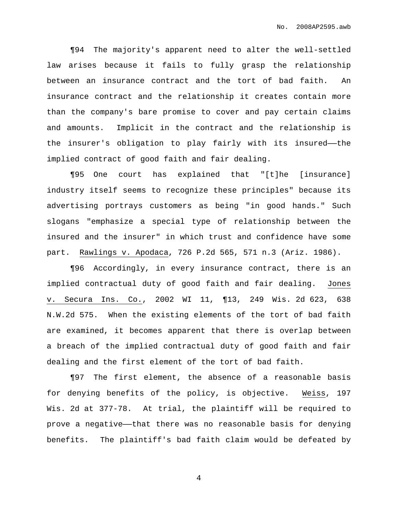¶94 The majority's apparent need to alter the well-settled law arises because it fails to fully grasp the relationship between an insurance contract and the tort of bad faith. An insurance contract and the relationship it creates contain more than the company's bare promise to cover and pay certain claims and amounts. Implicit in the contract and the relationship is the insurer's obligation to play fairly with its insured—the implied contract of good faith and fair dealing.

¶95 One court has explained that "[t]he [insurance] industry itself seems to recognize these principles" because its advertising portrays customers as being "in good hands." Such slogans "emphasize a special type of relationship between the insured and the insurer" in which trust and confidence have some part. Rawlings v. Apodaca, 726 P.2d 565, 571 n.3 (Ariz. 1986).

¶96 Accordingly, in every insurance contract, there is an implied contractual duty of good faith and fair dealing. Jones v. Secura Ins. Co., 2002 WI 11, ¶13, 249 Wis. 2d 623, 638 N.W.2d 575. When the existing elements of the tort of bad faith are examined, it becomes apparent that there is overlap between a breach of the implied contractual duty of good faith and fair dealing and the first element of the tort of bad faith.

¶97 The first element, the absence of a reasonable basis for denying benefits of the policy, is objective. Weiss, 197 Wis. 2d at 377-78. At trial, the plaintiff will be required to prove a negative—that there was no reasonable basis for denying benefits. The plaintiff's bad faith claim would be defeated by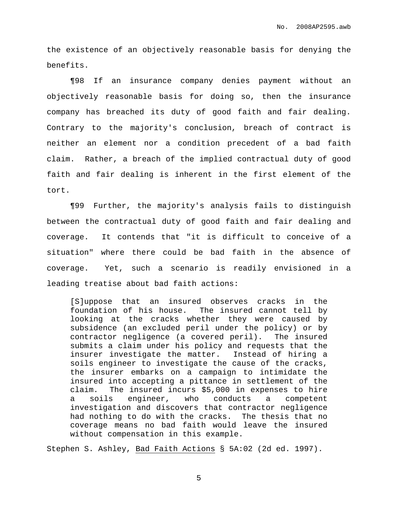the existence of an objectively reasonable basis for denying the benefits.

¶98 If an insurance company denies payment without an objectively reasonable basis for doing so, then the insurance company has breached its duty of good faith and fair dealing. Contrary to the majority's conclusion, breach of contract is neither an element nor a condition precedent of a bad faith claim. Rather, a breach of the implied contractual duty of good faith and fair dealing is inherent in the first element of the tort.

¶99 Further, the majority's analysis fails to distinguish between the contractual duty of good faith and fair dealing and coverage. It contends that "it is difficult to conceive of a situation" where there could be bad faith in the absence of coverage. Yet, such a scenario is readily envisioned in a leading treatise about bad faith actions:

[S]uppose that an insured observes cracks in the foundation of his house. The insured cannot tell by looking at the cracks whether they were caused by subsidence (an excluded peril under the policy) or by contractor negligence (a covered peril). The insured submits a claim under his policy and requests that the insurer investigate the matter. Instead of hiring a soils engineer to investigate the cause of the cracks, the insurer embarks on a campaign to intimidate the insured into accepting a pittance in settlement of the claim. The insured incurs \$5,000 in expenses to hire a soils engineer, who conducts a competent investigation and discovers that contractor negligence had nothing to do with the cracks. The thesis that no coverage means no bad faith would leave the insured without compensation in this example.

Stephen S. Ashley, Bad Faith Actions § 5A:02 (2d ed. 1997).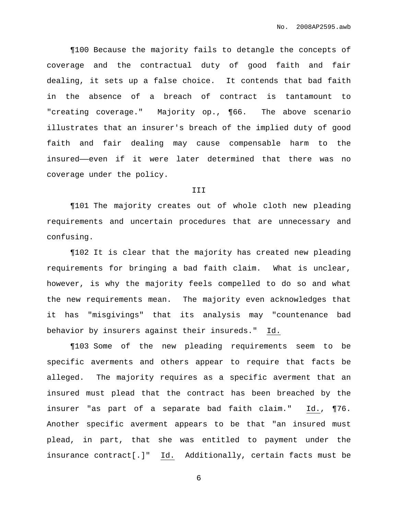¶100 Because the majority fails to detangle the concepts of coverage and the contractual duty of good faith and fair dealing, it sets up a false choice. It contends that bad faith in the absence of a breach of contract is tantamount to "creating coverage." Majority op., ¶66. The above scenario illustrates that an insurer's breach of the implied duty of good faith and fair dealing may cause compensable harm to the insured——even if it were later determined that there was no coverage under the policy.

#### III

¶101 The majority creates out of whole cloth new pleading requirements and uncertain procedures that are unnecessary and confusing.

¶102 It is clear that the majority has created new pleading requirements for bringing a bad faith claim. What is unclear, however, is why the majority feels compelled to do so and what the new requirements mean. The majority even acknowledges that it has "misgivings" that its analysis may "countenance bad behavior by insurers against their insureds." Id.

¶103 Some of the new pleading requirements seem to be specific averments and others appear to require that facts be alleged. The majority requires as a specific averment that an insured must plead that the contract has been breached by the insurer "as part of a separate bad faith claim." Id., ¶76. Another specific averment appears to be that "an insured must plead, in part, that she was entitled to payment under the insurance contract[.]" Id. Additionally, certain facts must be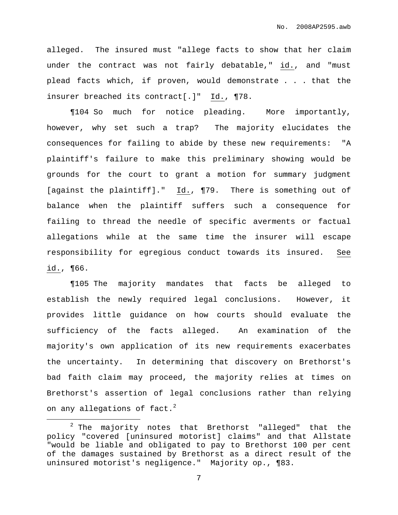alleged. The insured must "allege facts to show that her claim under the contract was not fairly debatable," id., and "must plead facts which, if proven, would demonstrate . . . that the insurer breached its contract[.]" Id., ¶78.

¶104 So much for notice pleading. More importantly, however, why set such a trap? The majority elucidates the consequences for failing to abide by these new requirements: "A plaintiff's failure to make this preliminary showing would be grounds for the court to grant a motion for summary judgment [against the plaintiff]." Id., ¶79. There is something out of balance when the plaintiff suffers such a consequence for failing to thread the needle of specific averments or factual allegations while at the same time the insurer will escape responsibility for egregious conduct towards its insured. See id., ¶66.

¶105 The majority mandates that facts be alleged to establish the newly required legal conclusions. However, it provides little guidance on how courts should evaluate the sufficiency of the facts alleged. An examination of the majority's own application of its new requirements exacerbates the uncertainty. In determining that discovery on Brethorst's bad faith claim may proceed, the majority relies at times on Brethorst's assertion of legal conclusions rather than relying on any allegations of fact. $^2$ 

<sup>&</sup>lt;sup>2</sup> The majority notes that Brethorst "alleged" that the policy "covered [uninsured motorist] claims" and that Allstate "would be liable and obligated to pay to Brethorst 100 per cent of the damages sustained by Brethorst as a direct result of the uninsured motorist's negligence." Majority op., ¶83.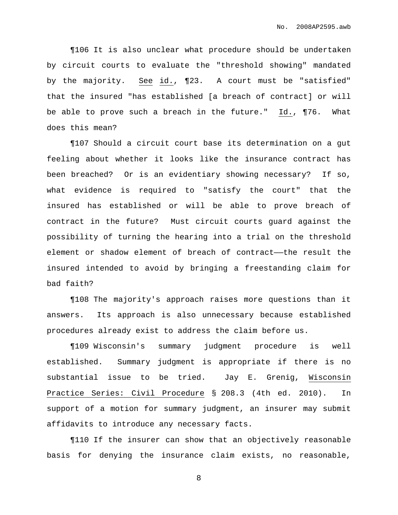¶106 It is also unclear what procedure should be undertaken by circuit courts to evaluate the "threshold showing" mandated by the majority. See id., ¶23. A court must be "satisfied" that the insured "has established [a breach of contract] or will be able to prove such a breach in the future." Id., ¶76. What does this mean?

¶107 Should a circuit court base its determination on a gut feeling about whether it looks like the insurance contract has been breached? Or is an evidentiary showing necessary? If so, what evidence is required to "satisfy the court" that the insured has established or will be able to prove breach of contract in the future? Must circuit courts guard against the possibility of turning the hearing into a trial on the threshold element or shadow element of breach of contract——the result the insured intended to avoid by bringing a freestanding claim for bad faith?

¶108 The majority's approach raises more questions than it answers. Its approach is also unnecessary because established procedures already exist to address the claim before us.

¶109 Wisconsin's summary judgment procedure is well established. Summary judgment is appropriate if there is no substantial issue to be tried. Jay E. Grenig, Wisconsin Practice Series: Civil Procedure § 208.3 (4th ed. 2010). In support of a motion for summary judgment, an insurer may submit affidavits to introduce any necessary facts.

¶110 If the insurer can show that an objectively reasonable basis for denying the insurance claim exists, no reasonable,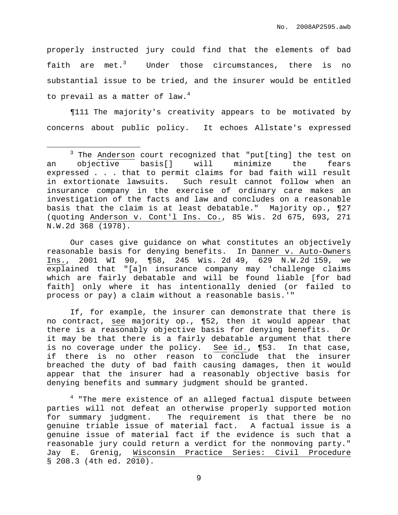properly instructed jury could find that the elements of bad faith are met.<sup>3</sup> Under those circumstances, there is no substantial issue to be tried, and the insurer would be entitled to prevail as a matter of law. 4

¶111 The majority's creativity appears to be motivated by concerns about public policy. It echoes Allstate's expressed

Our cases give guidance on what constitutes an objectively reasonable basis for denying benefits. In Danner v. Auto-Owners Ins., 2001 WI 90, ¶58, 245 Wis. 2d 49, 629 N.W.2d 159, we explained that "[a]n insurance company may 'challenge claims which are fairly debatable and will be found liable [for bad faith] only where it has intentionally denied (or failed to process or pay) a claim without a reasonable basis.'"

If, for example, the insurer can demonstrate that there is no contract, see majority op., ¶52, then it would appear that there is a reasonably objective basis for denying benefits. Or it may be that there is a fairly debatable argument that there is no coverage under the policy. See id., ¶53. In that case, if there is no other reason to conclude that the insurer breached the duty of bad faith causing damages, then it would appear that the insurer had a reasonably objective basis for denying benefits and summary judgment should be granted.

<sup>4</sup> "The mere existence of an alleged factual dispute between parties will not defeat an otherwise properly supported motion for summary judgment. The requirement is that there be no genuine triable issue of material fact. A factual issue is a genuine issue of material fact if the evidence is such that a reasonable jury could return a verdict for the nonmoving party." Jay E. Grenig, Wisconsin Practice Series: Civil Procedure § 208.3 (4th ed. 2010).

<sup>3</sup> The Anderson court recognized that "put[ting] the test on an objective basis[] will minimize the fears expressed . . . that to permit claims for bad faith will result in extortionate lawsuits. Such result cannot follow when an insurance company in the exercise of ordinary care makes an investigation of the facts and law and concludes on a reasonable basis that the claim is at least debatable." Majority op., ¶27 (quoting Anderson v. Cont'l Ins. Co., 85 Wis. 2d 675, 693, 271 N.W.2d 368 (1978).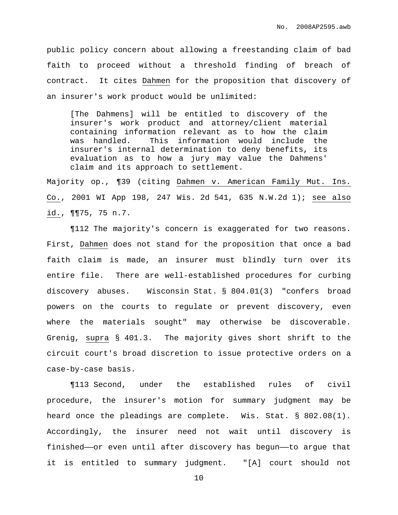public policy concern about allowing a freestanding claim of bad faith to proceed without a threshold finding of breach of contract. It cites Dahmen for the proposition that discovery of an insurer's work product would be unlimited:

[The Dahmens] will be entitled to discovery of the insurer's work product and attorney/client material containing information relevant as to how the claim was handled. This information would include the insurer's internal determination to deny benefits, its evaluation as to how a jury may value the Dahmens' claim and its approach to settlement.

Majority op., ¶39 (citing Dahmen v. American Family Mut. Ins. Co., 2001 WI App 198, 247 Wis. 2d 541, 635 N.W.2d 1); see also id., ¶¶75, 75 n.7.

¶112 The majority's concern is exaggerated for two reasons. First, Dahmen does not stand for the proposition that once a bad faith claim is made, an insurer must blindly turn over its entire file. There are well-established procedures for curbing discovery abuses. Wisconsin Stat. § 804.01(3) "confers broad powers on the courts to regulate or prevent discovery, even where the materials sought" may otherwise be discoverable. Grenig, supra § 401.3. The majority gives short shrift to the circuit court's broad discretion to issue protective orders on a case-by-case basis.

¶113 Second, under the established rules of civil procedure, the insurer's motion for summary judgment may be heard once the pleadings are complete. Wis. Stat. § 802.08(1). Accordingly, the insurer need not wait until discovery is finished——or even until after discovery has begun——to argue that it is entitled to summary judgment. "[A] court should not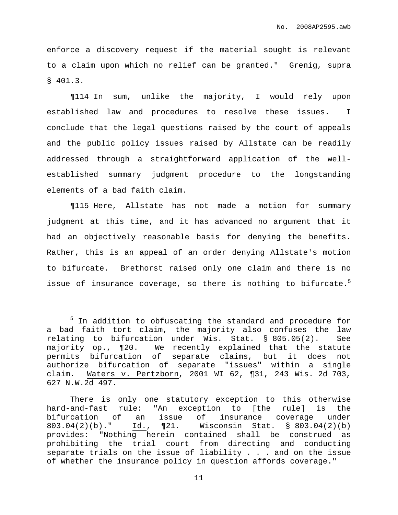enforce a discovery request if the material sought is relevant to a claim upon which no relief can be granted." Grenig, supra § 401.3.

¶114 In sum, unlike the majority, I would rely upon established law and procedures to resolve these issues. I conclude that the legal questions raised by the court of appeals and the public policy issues raised by Allstate can be readily addressed through a straightforward application of the wellestablished summary judgment procedure to the longstanding elements of a bad faith claim.

¶115 Here, Allstate has not made a motion for summary judgment at this time, and it has advanced no argument that it had an objectively reasonable basis for denying the benefits. Rather, this is an appeal of an order denying Allstate's motion to bifurcate. Brethorst raised only one claim and there is no issue of insurance coverage, so there is nothing to bifurcate. 5

<sup>&</sup>lt;sup>5</sup> In addition to obfuscating the standard and procedure for a bad faith tort claim, the majority also confuses the law relating to bifurcation under Wis. Stat. § 805.05(2). See majority op., ¶20. We recently explained that the statute permits bifurcation of separate claims, but it does not authorize bifurcation of separate "issues" within a single claim. Waters v. Pertzborn, 2001 WI 62, ¶31, 243 Wis. 2d 703, 627 N.W.2d 497.

There is only one statutory exception to this otherwise hard-and-fast rule: "An exception to [the rule] is the bifurcation of an issue of insurance coverage under 803.04(2)(b)." Id., ¶21. Wisconsin Stat. § 803.04(2)(b) provides: "Nothing herein contained shall be construed as prohibiting the trial court from directing and conducting separate trials on the issue of liability . . . and on the issue of whether the insurance policy in question affords coverage."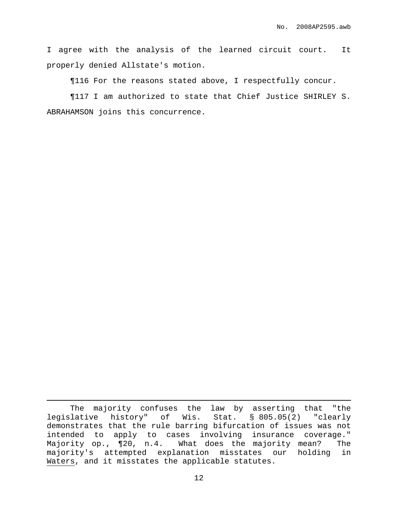I agree with the analysis of the learned circuit court. It properly denied Allstate's motion.

¶116 For the reasons stated above, I respectfully concur.

¶117 I am authorized to state that Chief Justice SHIRLEY S. ABRAHAMSON joins this concurrence.

The majority confuses the law by asserting that "the legislative history" of Wis. Stat. § 805.05(2) "clearly demonstrates that the rule barring bifurcation of issues was not intended to apply to cases involving insurance coverage." Majority op., ¶20, n.4. What does the majority mean? The majority's attempted explanation misstates our holding in Waters, and it misstates the applicable statutes.